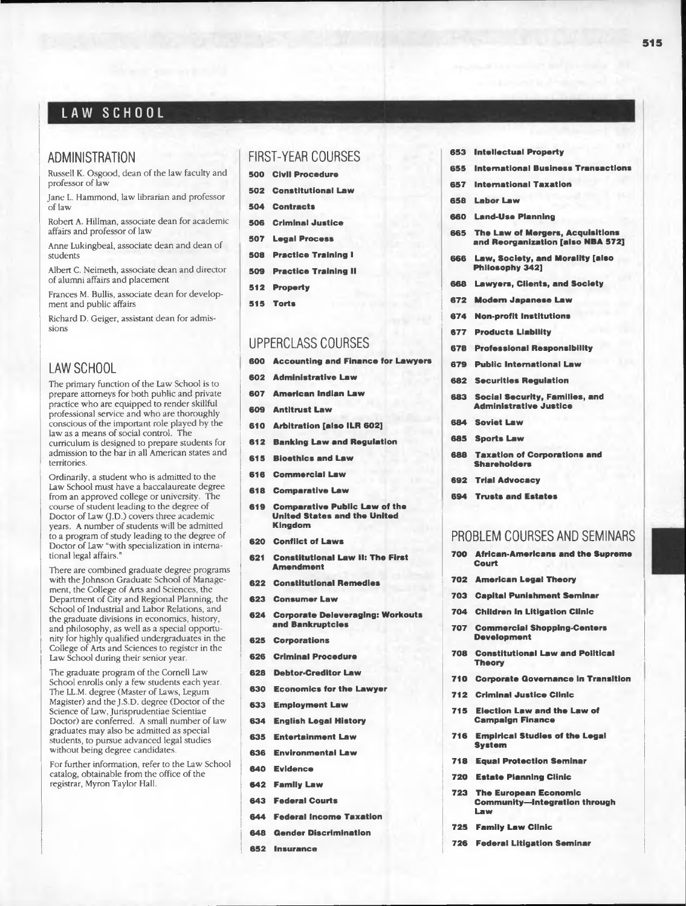# LAW SCHOOL

### ADMINISTRATION

Russell K. Osgood, dean of the law faculty and professor of law

Jane L. Hammond, law librarian and professor of law

Robert A. Hillman, associate dean for academic affairs and professor of law

Anne Lukingbeal, associate dean and dean of students

Albert C. Neimeth, associate dean and director of alumni affairs and placement

Frances M. Bullis, associate dean for development and public affairs

Richard D. Geiger, assistant dean for admissions

## LAW SCHOOL

The primary function of the Law School is to prepare attorneys for both public and private practice who are equipped to render skillful professional service and who are thoroughly conscious of the important role played by the law as a means of social control. The curriculum is designed to prepare students for admission to the bar in all American states and territories.

Ordinarily, a student who is admitted to the Law School must have a baccalaureate degree from an approved college or university. The course of student leading to the degree of Doctor of Law (J.D.) covers three academic years. A number of students will be admitted to a program of study leading to the degree of Doctor of Law "with specialization in international legal affairs."

There are combined graduate degree programs with the Johnson Graduate School of Management, the College of Arts and Sciences, the Department of City and Regional Planning, the School of Industrial and Labor Relations, and the graduate divisions in economics, history, and philosophy, as well as a special opportunity for highly qualified undergraduates in the College of Arts and Sciences to register in the Law School during their senior year.

The graduate program of the Cornell Law School enrolls only a few students each year. The LL.M. degree (Master of Laws, Legum Magister) and the J.S.D. degree (Doctor of the Science of Law, Jurisprudentiae Scientiae Doctor) are conferred. A small number of law graduates may also be admitted as special students, to pursue advanced legal studies without being degree candidates

For further information, refer to the Law School catalog, obtainable from the office of the registrar, Myron Taylor Hall.

## FIRST-YEAR COURSES

- 500 Civil Procedure
- 502 Constitutional Law
- 504 Contracts
- 506 Criminal Justice
- 507 Legal Process
- 508 Practice Training I
- 509 Practice Training II
- 512 Property
- 515 Torts

## UPPERCLASS COURSES

- 600 Accounting and Finance for Lawyers
- 602 Administrative Law
- 607 American Indian Law
- 609 Antitrust Law
- 610 Arbitration [also ILR 602]
- 612 Banking Law and Regulation
- 615 Bioethics and Law
- 616 Commercial Law
- 618 Comparative Law
- 619 Comparative Public Law of the United States and the United Kingdom
- 620 Conflict of Laws
- 621 Constitutional Law II: The First Amendment
- 622 Constitutional Remedies
- 623 Consumer Law
- 624 Corporate Deleveraging: Workouts and Bankruptcies
- 625 Corporations
- 626 Criminal Procedure
- 628 Debtor-Creditor Law
- 630 Economics for the Lawyer
- 633 Employment Law
- 634 English Legal History
- 635 Entertainment Law
- 636 Environmental Law
- 640 Evidence
- 642 Family Law
- 643 Federal Courts
- 644 Federal Income Taxation
- 648 Gender Discrimination
- 652 Insurance
- 653 Intellectual Property
- 655 International Business Transactions
- 657 International Taxation
- 658 Labor Law
- 660 Land-Use Planning
- 665 The Law of Mergers, Acquisitions and Reorganization [also NBA 572]
- 666 Law, Society, and Morality [also Philosophy 342]
- 668 Lawyers, Clients, and Society
- 672 Modem Japanese Law
- 674 Non-profit Institutions
- 677 Products Liability
- 678 Professional Responsibility
- 679 Public International Law
- 682 Securities Regulation
- 683 Social Security, Families, and Administrative Justice
- 684 Soviet Law
- 685 Sports Law
- 688 Taxation of Corporations and Shareholders
- 692 Trial Advocacy
- 694 Trusts and Estates

### PROBLEM COURSES AND SEMINARS

- 700 African-Americans and the Supreme Court
- 702 American Legal Theory
- 703 Capital Punishment Seminar
- 704 Children in Litigation Clinic
- 707 Commercial Shopping-Centers Development
- 708 Constitutional Law and Political Theory
- 710 Corporate Governance in Transition
- 712 Criminal Justice Clinic
- 715 Election Law and the Law of Campaign Finance
- 716 Empirical Studies of the Legal System
- 718 Equal Protection Seminar
- 720 Estate Planning Clinic
- 723 The European Economic Community— Integration through Law
- 725 Family Law Clinic
- 726 Federal Litigation Seminar